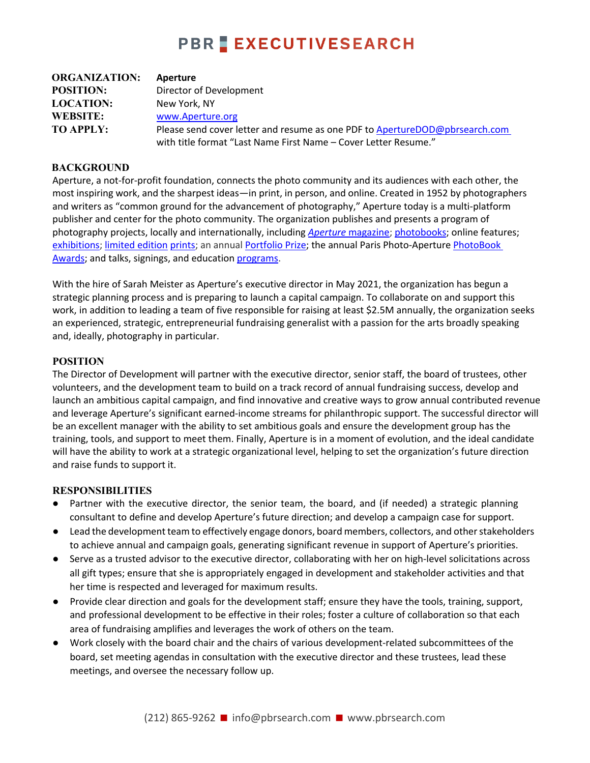## **PBR EXECUTIVESEARCH**

| <b>ORGANIZATION:</b> | Aperture                                                                    |
|----------------------|-----------------------------------------------------------------------------|
| <b>POSITION:</b>     | Director of Development                                                     |
| <b>LOCATION:</b>     | New York, NY                                                                |
| <b>WEBSITE:</b>      | www.Aperture.org                                                            |
| <b>TO APPLY:</b>     | Please send cover letter and resume as one PDF to ApertureDOD@pbrsearch.com |
|                      | with title format "Last Name First Name - Cover Letter Resume."             |

### **BACKGROUND**

Aperture, a not-for-profit foundation, connects the photo community and its audiences with each other, the most inspiring work, and the sharpest ideas—in print, in person, and online. Created in 1952 by photographers and writers as "common ground for the advancement of photography," Aperture today is a multi-platform publisher and center for the photo community. The organization publishes and presents a program of photography projects, locally and internationally, including *Aperture* magazine; photobooks; online features; exhibitions; limited edition prints; an annual Portfolio Prize; the annual Paris Photo-Aperture PhotoBook Awards; and talks, signings, and education programs.

With the hire of Sarah Meister as Aperture's executive director in May 2021, the organization has begun a strategic planning process and is preparing to launch a capital campaign. To collaborate on and support this work, in addition to leading a team of five responsible for raising at least \$2.5M annually, the organization seeks an experienced, strategic, entrepreneurial fundraising generalist with a passion for the arts broadly speaking and, ideally, photography in particular.

### **POSITION**

The Director of Development will partner with the executive director, senior staff, the board of trustees, other volunteers, and the development team to build on a track record of annual fundraising success, develop and launch an ambitious capital campaign, and find innovative and creative ways to grow annual contributed revenue and leverage Aperture's significant earned-income streams for philanthropic support. The successful director will be an excellent manager with the ability to set ambitious goals and ensure the development group has the training, tools, and support to meet them. Finally, Aperture is in a moment of evolution, and the ideal candidate will have the ability to work at a strategic organizational level, helping to set the organization's future direction and raise funds to support it.

### **RESPONSIBILITIES**

- Partner with the executive director, the senior team, the board, and (if needed) a strategic planning consultant to define and develop Aperture's future direction; and develop a campaign case for support.
- Lead the development team to effectively engage donors, board members, collectors, and other stakeholders to achieve annual and campaign goals, generating significant revenue in support of Aperture's priorities.
- Serve as a trusted advisor to the executive director, collaborating with her on high-level solicitations across all gift types; ensure that she is appropriately engaged in development and stakeholder activities and that her time is respected and leveraged for maximum results.
- Provide clear direction and goals for the development staff; ensure they have the tools, training, support, and professional development to be effective in their roles; foster a culture of collaboration so that each area of fundraising amplifies and leverages the work of others on the team.
- Work closely with the board chair and the chairs of various development-related subcommittees of the board, set meeting agendas in consultation with the executive director and these trustees, lead these meetings, and oversee the necessary follow up.